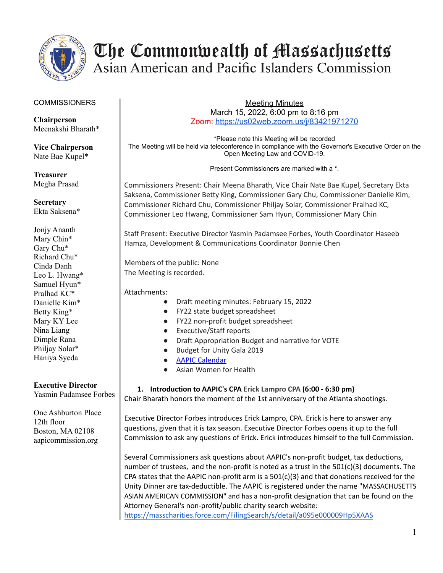

#### **COMMISSIONERS**

**Chairperson** Meenakshi Bharath\*

**Vice Chairperson** Nate Bae Kupel\*

**Treasurer** Megha Prasad

**Secretary** Ekta Saksena\*

Jonjy Ananth Mary Chin\* Gary Chu\* Richard Chu\* Cinda Danh Leo L. Hwang\* Samuel Hyun\* Pralhad KC\* Danielle Kim\* Betty King\* Mary KY Lee Nina Liang Dimple Rana Philjay Solar\* Haniya Syeda

### **Executive Director**

Yasmin Padamsee Forbes

One Ashburton Place 12th floor Boston, MA 02108 aapicommission.org

Meeting Minutes March 15, 2022, 6:00 pm to 8:16 pm Zoom: <https://us02web.zoom.us/j/83421971270>

\*Please note this Meeting will be recorded The Meeting will be held via teleconference in compliance with the Governor's Executive Order on the Open Meeting Law and COVID-19.

Present Commissioners are marked with a \*.

Commissioners Present: Chair Meena Bharath, Vice Chair Nate Bae Kupel, Secretary Ekta Saksena, Commissioner Betty King, Commissioner Gary Chu, Commissioner Danielle Kim, Commissioner Richard Chu, Commissioner Philjay Solar, Commissioner Pralhad KC, Commissioner Leo Hwang, Commissioner Sam Hyun, Commissioner Mary Chin

Staff Present: Executive Director Yasmin Padamsee Forbes, Youth Coordinator Haseeb Hamza, Development & Communications Coordinator Bonnie Chen

Members of the public: None The Meeting is recorded.

Attachments:

- Draft meeting minutes: February 15, 2022
- FY22 state budget spreadsheet
- FY22 non-profit budget spreadsheet
- Executive/Staff reports
- Draft Appropriation Budget and narrative for VOTE
- Budget for Unity Gala 2019
- AAPIC [Calendar](https://docs.google.com/spreadsheets/d/1gggskCZ6H67xA8C2kiQALpZqJROWKNdYTnPeQ-zkMoA/edit?usp=sharing)
- Asian Women for Health

**1. Introduction to AAPIC's CPA Erick Lampro CPA (6:00 - 6:30 pm)** Chair Bharath honors the moment of the 1st anniversary of the Atlanta shootings.

Executive Director Forbes introduces Erick Lampro, CPA. Erick is here to answer any questions, given that it is tax season. Executive Director Forbes opens it up to the full Commission to ask any questions of Erick. Erick introduces himself to the full Commission.

Several Commissioners ask questions about AAPIC's non-profit budget, tax deductions, number of trustees, and the non-profit is noted as a trust in the 501(c)(3) documents. The CPA states that the AAPIC non-profit arm is a  $501(c)(3)$  and that donations received for the Unity Dinner are tax-deductible. The AAPIC is registered under the name "MASSACHUSETTS ASIAN AMERICAN COMMISSION" and has a non-profit designation that can be found on the Attorney General's non-profit/public charity search website:

<https://masscharities.force.com/FilingSearch/s/detail/a095e000009Hp5XAAS>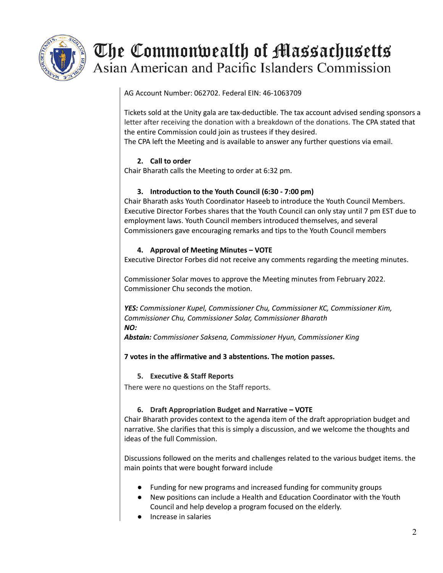

AG Account Number: 062702. Federal EIN: 46-1063709

Tickets sold at the Unity gala are tax-deductible. The tax account advised sending sponsors a letter after receiving the donation with a breakdown of the donations. The CPA stated that the entire Commission could join as trustees if they desired.

The CPA left the Meeting and is available to answer any further questions via email.

### **2. Call to order**

Chair Bharath calls the Meeting to order at 6:32 pm.

### **3. Introduction to the Youth Council (6:30 - 7:00 pm)**

Chair Bharath asks Youth Coordinator Haseeb to introduce the Youth Council Members. Executive Director Forbes shares that the Youth Council can only stay until 7 pm EST due to employment laws. Youth Council members introduced themselves, and several Commissioners gave encouraging remarks and tips to the Youth Council members

### **4. Approval of Meeting Minutes – VOTE**

Executive Director Forbes did not receive any comments regarding the meeting minutes.

Commissioner Solar moves to approve the Meeting minutes from February 2022. Commissioner Chu seconds the motion.

*YES: Commissioner Kupel, Commissioner Chu, Commissioner KC, Commissioner Kim, Commissioner Chu, Commissioner Solar, Commissioner Bharath NO:*

*Abstain: Commissioner Saksena, Commissioner Hyun, Commissioner King*

**7 votes in the affirmative and 3 abstentions. The motion passes.**

### **5. Executive & Staff Reports**

There were no questions on the Staff reports.

### **6. Draft Appropriation Budget and Narrative – VOTE**

Chair Bharath provides context to the agenda item of the draft appropriation budget and narrative. She clarifies that this is simply a discussion, and we welcome the thoughts and ideas of the full Commission.

Discussions followed on the merits and challenges related to the various budget items. the main points that were bought forward include

- Funding for new programs and increased funding for community groups
- New positions can include a Health and Education Coordinator with the Youth Council and help develop a program focused on the elderly.
- Increase in salaries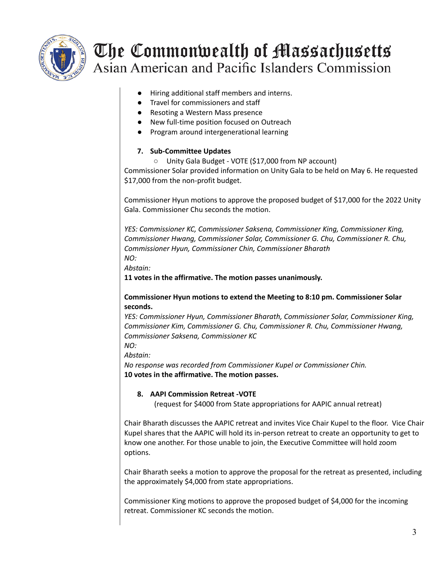

- Hiring additional staff members and interns.
- Travel for commissioners and staff
- Resoting a Western Mass presence
- New full-time position focused on Outreach
- Program around intergenerational learning

## **7. Sub-Committee Updates**

○ Unity Gala Budget - VOTE (\$17,000 from NP account)

Commissioner Solar provided information on Unity Gala to be held on May 6. He requested \$17,000 from the non-profit budget.

Commissioner Hyun motions to approve the proposed budget of \$17,000 for the 2022 Unity Gala. Commissioner Chu seconds the motion.

*YES: Commissioner KC, Commissioner Saksena, Commissioner King, Commissioner King, Commissioner Hwang, Commissioner Solar, Commissioner G. Chu, Commissioner R. Chu, Commissioner Hyun, Commissioner Chin, Commissioner Bharath NO:*

*Abstain:*

**11 votes in the affirmative. The motion passes unanimously.**

### **Commissioner Hyun motions to extend the Meeting to 8:10 pm. Commissioner Solar seconds.**

*YES: Commissioner Hyun, Commissioner Bharath, Commissioner Solar, Commissioner King, Commissioner Kim, Commissioner G. Chu, Commissioner R. Chu, Commissioner Hwang, Commissioner Saksena, Commissioner KC*

*NO: Abstain:*

*No response was recorded from Commissioner Kupel or Commissioner Chin.* **10 votes in the affirmative. The motion passes.**

### **8. AAPI Commission Retreat -VOTE**

(request for \$4000 from State appropriations for AAPIC annual retreat)

Chair Bharath discusses the AAPIC retreat and invites Vice Chair Kupel to the floor. Vice Chair Kupel shares that the AAPIC will hold its in-person retreat to create an opportunity to get to know one another. For those unable to join, the Executive Committee will hold zoom options.

Chair Bharath seeks a motion to approve the proposal for the retreat as presented, including the approximately \$4,000 from state appropriations.

Commissioner King motions to approve the proposed budget of \$4,000 for the incoming retreat. Commissioner KC seconds the motion.